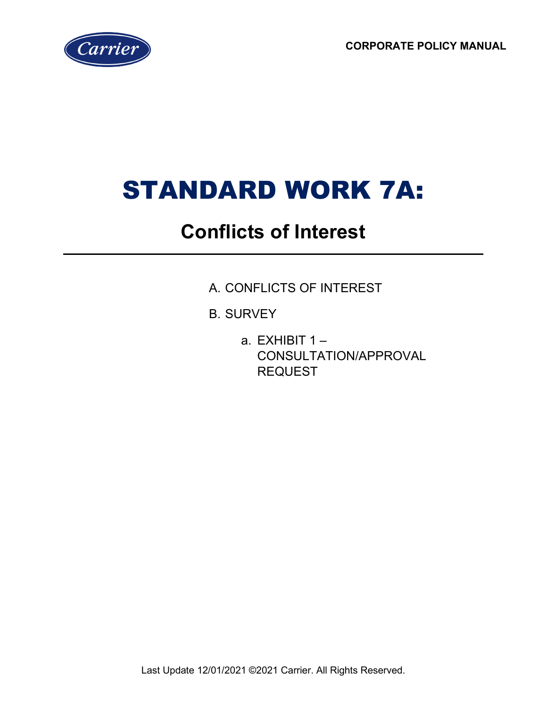**CORPORATE POLICY MANUAL**



# STANDARD WORK 7A:

# **Conflicts of Interest**

- A. CONFLICTS OF INTEREST
- B. SURVEY
	- a. EXHIBIT  $1 -$ CONSULTATION/APPROVAL REQUEST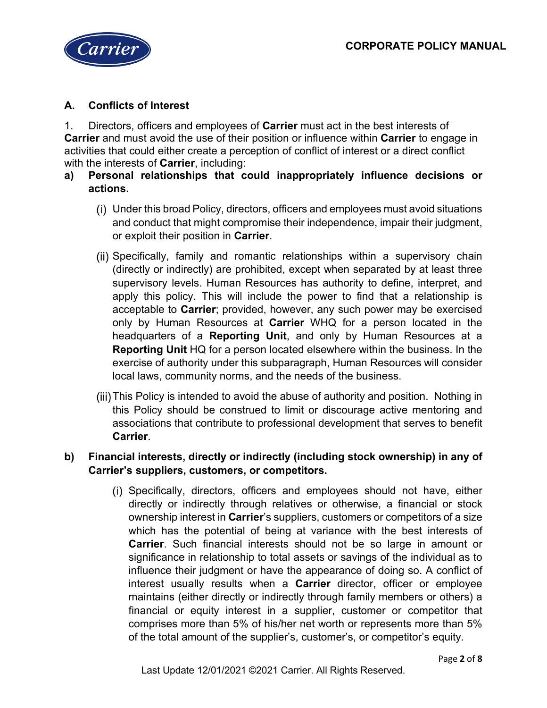

# **A. Conflicts of Interest**

1. Directors, officers and employees of **Carrier** must act in the best interests of **Carrier** and must avoid the use of their position or influence within **Carrier** to engage in activities that could either create a perception of conflict of interest or a direct conflict with the interests of **Carrier**, including:

## **a) Personal relationships that could inappropriately influence decisions or actions.**

- Under this broad Policy, directors, officers and employees must avoid situations and conduct that might compromise their independence, impair their judgment, or exploit their position in **Carrier**.
- (ii) Specifically, family and romantic relationships within a supervisory chain (directly or indirectly) are prohibited, except when separated by at least three supervisory levels. Human Resources has authority to define, interpret, and apply this policy. This will include the power to find that a relationship is acceptable to **Carrier**; provided, however, any such power may be exercised only by Human Resources at **Carrier** WHQ for a person located in the headquarters of a **Reporting Unit**, and only by Human Resources at a **Reporting Unit** HQ for a person located elsewhere within the business. In the exercise of authority under this subparagraph, Human Resources will consider local laws, community norms, and the needs of the business.
- This Policy is intended to avoid the abuse of authority and position. Nothing in this Policy should be construed to limit or discourage active mentoring and associations that contribute to professional development that serves to benefit **Carrier**.

## **b) Financial interests, directly or indirectly (including stock ownership) in any of Carrier's suppliers, customers, or competitors.**

(i) Specifically, directors, officers and employees should not have, either directly or indirectly through relatives or otherwise, a financial or stock ownership interest in **Carrier**'s suppliers, customers or competitors of a size which has the potential of being at variance with the best interests of **Carrier**. Such financial interests should not be so large in amount or significance in relationship to total assets or savings of the individual as to influence their judgment or have the appearance of doing so. A conflict of interest usually results when a **Carrier** director, officer or employee maintains (either directly or indirectly through family members or others) a financial or equity interest in a supplier, customer or competitor that comprises more than 5% of his/her net worth or represents more than 5% of the total amount of the supplier's, customer's, or competitor's equity.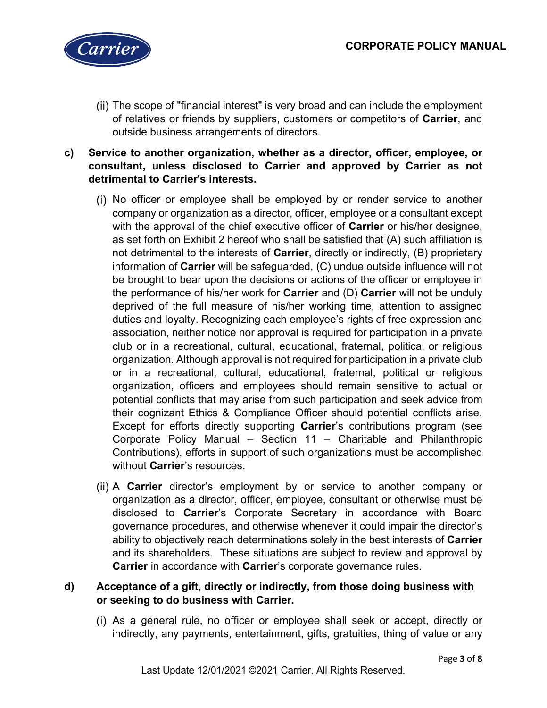

- (ii) The scope of "financial interest" is very broad and can include the employment of relatives or friends by suppliers, customers or competitors of **Carrier**, and outside business arrangements of directors.
- **c) Service to another organization, whether as a director, officer, employee, or consultant, unless disclosed to Carrier and approved by Carrier as not detrimental to Carrier's interests.**
	- No officer or employee shall be employed by or render service to another company or organization as a director, officer, employee or a consultant except with the approval of the chief executive officer of **Carrier** or his/her designee, as set forth on Exhibit 2 hereof who shall be satisfied that (A) such affiliation is not detrimental to the interests of **Carrier**, directly or indirectly, (B) proprietary information of **Carrier** will be safeguarded, (C) undue outside influence will not be brought to bear upon the decisions or actions of the officer or employee in the performance of his/her work for **Carrier** and (D) **Carrier** will not be unduly deprived of the full measure of his/her working time, attention to assigned duties and loyalty. Recognizing each employee's rights of free expression and association, neither notice nor approval is required for participation in a private club or in a recreational, cultural, educational, fraternal, political or religious organization. Although approval is not required for participation in a private club or in a recreational, cultural, educational, fraternal, political or religious organization, officers and employees should remain sensitive to actual or potential conflicts that may arise from such participation and seek advice from their cognizant Ethics & Compliance Officer should potential conflicts arise. Except for efforts directly supporting **Carrier**'s contributions program (see Corporate Policy Manual – Section 11 – Charitable and Philanthropic Contributions), efforts in support of such organizations must be accomplished without **Carrier**'s resources.
	- A **Carrier** director's employment by or service to another company or organization as a director, officer, employee, consultant or otherwise must be disclosed to **Carrier**'s Corporate Secretary in accordance with Board governance procedures, and otherwise whenever it could impair the director's ability to objectively reach determinations solely in the best interests of **Carrier** and its shareholders. These situations are subject to review and approval by **Carrier** in accordance with **Carrier**'s corporate governance rules.

#### **d) Acceptance of a gift, directly or indirectly, from those doing business with or seeking to do business with Carrier.**

As a general rule, no officer or employee shall seek or accept, directly or indirectly, any payments, entertainment, gifts, gratuities, thing of value or any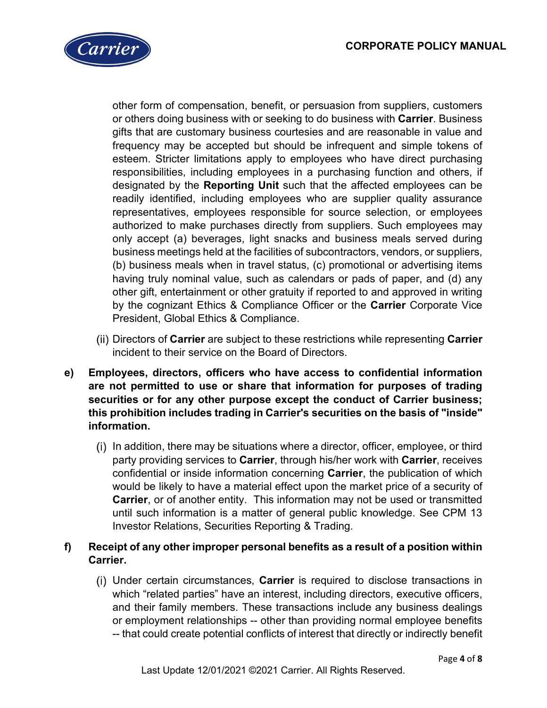

other form of compensation, benefit, or persuasion from suppliers, customers or others doing business with or seeking to do business with **Carrier**. Business gifts that are customary business courtesies and are reasonable in value and frequency may be accepted but should be infrequent and simple tokens of esteem. Stricter limitations apply to employees who have direct purchasing responsibilities, including employees in a purchasing function and others, if designated by the **Reporting Unit** such that the affected employees can be readily identified, including employees who are supplier quality assurance representatives, employees responsible for source selection, or employees authorized to make purchases directly from suppliers. Such employees may only accept (a) beverages, light snacks and business meals served during business meetings held at the facilities of subcontractors, vendors, or suppliers, (b) business meals when in travel status, (c) promotional or advertising items having truly nominal value, such as calendars or pads of paper, and (d) any other gift, entertainment or other gratuity if reported to and approved in writing by the cognizant Ethics & Compliance Officer or the **Carrier** Corporate Vice President, Global Ethics & Compliance.

- Directors of **Carrier** are subject to these restrictions while representing **Carrier** incident to their service on the Board of Directors.
- **e) Employees, directors, officers who have access to confidential information are not permitted to use or share that information for purposes of trading securities or for any other purpose except the conduct of Carrier business; this prohibition includes trading in Carrier's securities on the basis of "inside" information.**
	- (i) In addition, there may be situations where a director, officer, employee, or third party providing services to **Carrier**, through his/her work with **Carrier**, receives confidential or inside information concerning **Carrier**, the publication of which would be likely to have a material effect upon the market price of a security of **Carrier**, or of another entity. This information may not be used or transmitted until such information is a matter of general public knowledge. See CPM 13 Investor Relations, Securities Reporting & Trading.

## **f) Receipt of any other improper personal benefits as a result of a position within Carrier.**

Under certain circumstances, **Carrier** is required to disclose transactions in which "related parties" have an interest, including directors, executive officers, and their family members. These transactions include any business dealings or employment relationships -- other than providing normal employee benefits -- that could create potential conflicts of interest that directly or indirectly benefit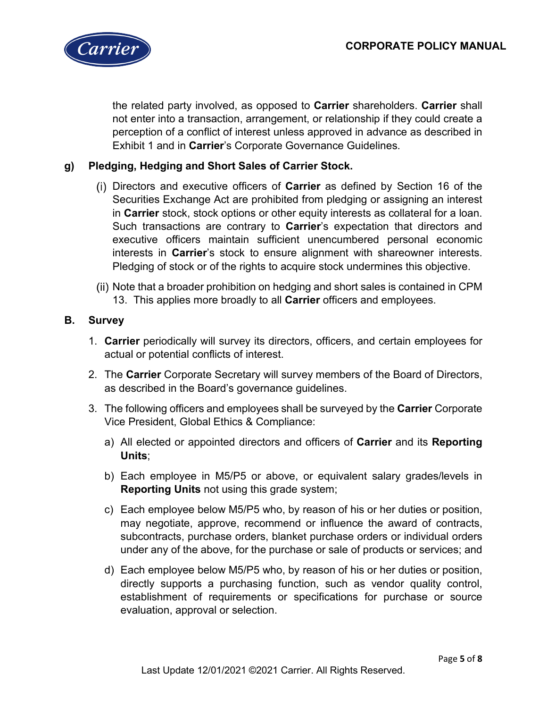

the related party involved, as opposed to **Carrier** shareholders. **Carrier** shall not enter into a transaction, arrangement, or relationship if they could create a perception of a conflict of interest unless approved in advance as described in Exhibit 1 and in **Carrier**'s Corporate Governance Guidelines.

#### **g) Pledging, Hedging and Short Sales of Carrier Stock.**

- Directors and executive officers of **Carrier** as defined by Section 16 of the Securities Exchange Act are prohibited from pledging or assigning an interest in **Carrier** stock, stock options or other equity interests as collateral for a loan. Such transactions are contrary to **Carrier**'s expectation that directors and executive officers maintain sufficient unencumbered personal economic interests in **Carrier**'s stock to ensure alignment with shareowner interests. Pledging of stock or of the rights to acquire stock undermines this objective.
- Note that a broader prohibition on hedging and short sales is contained in CPM 13. This applies more broadly to all **Carrier** officers and employees.

#### **B. Survey**

- 1. **Carrier** periodically will survey its directors, officers, and certain employees for actual or potential conflicts of interest.
- 2. The **Carrier** Corporate Secretary will survey members of the Board of Directors, as described in the Board's governance guidelines.
- 3. The following officers and employees shall be surveyed by the **Carrier** Corporate Vice President, Global Ethics & Compliance:
	- a) All elected or appointed directors and officers of **Carrier** and its **Reporting Units**;
	- b) Each employee in M5/P5 or above, or equivalent salary grades/levels in **Reporting Units** not using this grade system;
	- c) Each employee below M5/P5 who, by reason of his or her duties or position, may negotiate, approve, recommend or influence the award of contracts, subcontracts, purchase orders, blanket purchase orders or individual orders under any of the above, for the purchase or sale of products or services; and
	- d) Each employee below M5/P5 who, by reason of his or her duties or position, directly supports a purchasing function, such as vendor quality control, establishment of requirements or specifications for purchase or source evaluation, approval or selection.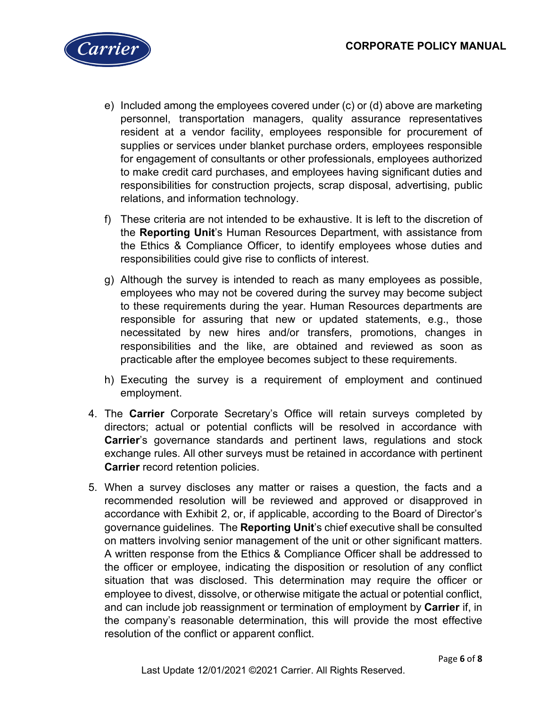

- e) Included among the employees covered under (c) or (d) above are marketing personnel, transportation managers, quality assurance representatives resident at a vendor facility, employees responsible for procurement of supplies or services under blanket purchase orders, employees responsible for engagement of consultants or other professionals, employees authorized to make credit card purchases, and employees having significant duties and responsibilities for construction projects, scrap disposal, advertising, public relations, and information technology.
- f) These criteria are not intended to be exhaustive. It is left to the discretion of the **Reporting Unit**'s Human Resources Department, with assistance from the Ethics & Compliance Officer, to identify employees whose duties and responsibilities could give rise to conflicts of interest.
- g) Although the survey is intended to reach as many employees as possible, employees who may not be covered during the survey may become subject to these requirements during the year. Human Resources departments are responsible for assuring that new or updated statements, e.g., those necessitated by new hires and/or transfers, promotions, changes in responsibilities and the like, are obtained and reviewed as soon as practicable after the employee becomes subject to these requirements.
- h) Executing the survey is a requirement of employment and continued employment.
- 4. The **Carrier** Corporate Secretary's Office will retain surveys completed by directors; actual or potential conflicts will be resolved in accordance with **Carrier**'s governance standards and pertinent laws, regulations and stock exchange rules. All other surveys must be retained in accordance with pertinent **Carrier** record retention policies.
- 5. When a survey discloses any matter or raises a question, the facts and a recommended resolution will be reviewed and approved or disapproved in accordance with Exhibit 2, or, if applicable, according to the Board of Director's governance guidelines. The **Reporting Unit**'s chief executive shall be consulted on matters involving senior management of the unit or other significant matters. A written response from the Ethics & Compliance Officer shall be addressed to the officer or employee, indicating the disposition or resolution of any conflict situation that was disclosed. This determination may require the officer or employee to divest, dissolve, or otherwise mitigate the actual or potential conflict, and can include job reassignment or termination of employment by **Carrier** if, in the company's reasonable determination, this will provide the most effective resolution of the conflict or apparent conflict.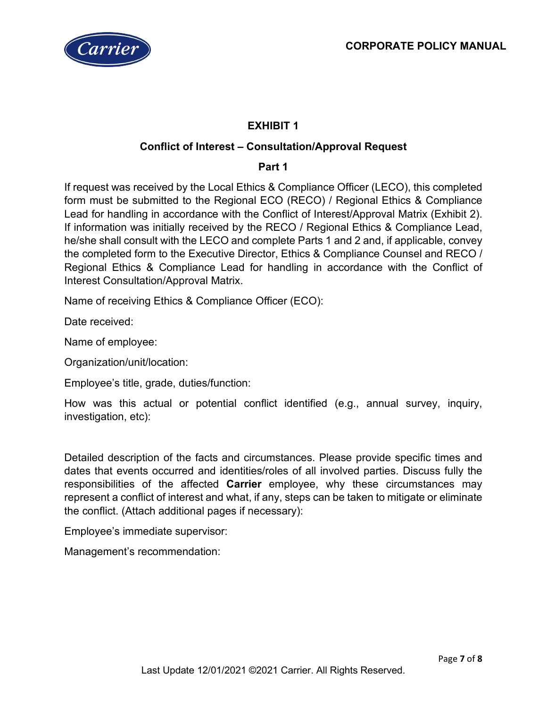

# **EXHIBIT 1**

#### **Conflict of Interest – Consultation/Approval Request**

#### **Part 1**

If request was received by the Local Ethics & Compliance Officer (LECO), this completed form must be submitted to the Regional ECO (RECO) / Regional Ethics & Compliance Lead for handling in accordance with the Conflict of Interest/Approval Matrix (Exhibit 2). If information was initially received by the RECO / Regional Ethics & Compliance Lead, he/she shall consult with the LECO and complete Parts 1 and 2 and, if applicable, convey the completed form to the Executive Director, Ethics & Compliance Counsel and RECO / Regional Ethics & Compliance Lead for handling in accordance with the Conflict of Interest Consultation/Approval Matrix.

Name of receiving Ethics & Compliance Officer (ECO):

Date received:

Name of employee:

Organization/unit/location:

Employee's title, grade, duties/function:

How was this actual or potential conflict identified (e.g., annual survey, inquiry, investigation, etc):

Detailed description of the facts and circumstances. Please provide specific times and dates that events occurred and identities/roles of all involved parties. Discuss fully the responsibilities of the affected **Carrier** employee, why these circumstances may represent a conflict of interest and what, if any, steps can be taken to mitigate or eliminate the conflict. (Attach additional pages if necessary):

Employee's immediate supervisor:

Management's recommendation: